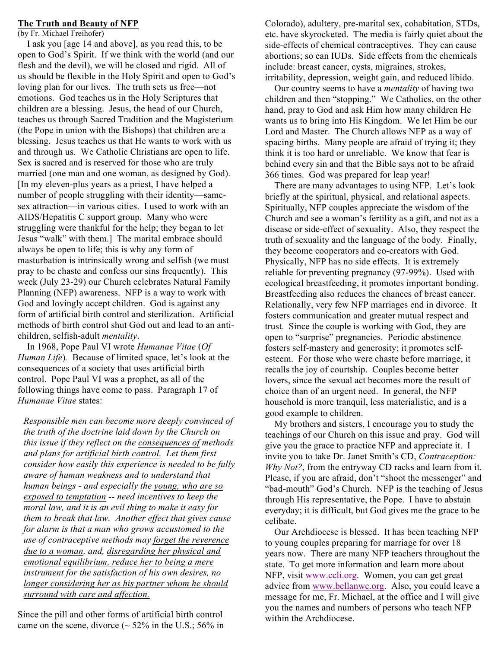#### **The Truth and Beauty of NFP**

(by Fr. Michael Freihofer)

 I ask you [age 14 and above], as you read this, to be open to God's Spirit. If we think with the world (and our flesh and the devil), we will be closed and rigid. All of us should be flexible in the Holy Spirit and open to God's loving plan for our lives. The truth sets us free—not emotions. God teaches us in the Holy Scriptures that children are a blessing. Jesus, the head of our Church, teaches us through Sacred Tradition and the Magisterium (the Pope in union with the Bishops) that children are a blessing. Jesus teaches us that He wants to work with us and through us. We Catholic Christians are open to life. Sex is sacred and is reserved for those who are truly married (one man and one woman, as designed by God). [In my eleven-plus years as a priest, I have helped a number of people struggling with their identity—samesex attraction—in various cities. I used to work with an AIDS/Hepatitis C support group. Many who were struggling were thankful for the help; they began to let Jesus "walk" with them.] The marital embrace should always be open to life; this is why any form of masturbation is intrinsically wrong and selfish (we must pray to be chaste and confess our sins frequently). This week (July 23-29) our Church celebrates Natural Family Planning (NFP) awareness. NFP is a way to work with God and lovingly accept children. God is against any form of artificial birth control and sterilization. Artificial methods of birth control shut God out and lead to an antichildren, selfish-adult *mentality*.

 In 1968, Pope Paul VI wrote *Humanae Vitae* (*Of Human Life*)*.* Because of limited space, let's look at the consequences of a society that uses artificial birth control. Pope Paul VI was a prophet, as all of the following things have come to pass. Paragraph 17 of *Humanae Vitae* states:

*Responsible men can become more deeply convinced of the truth of the doctrine laid down by the Church on this issue if they reflect on the consequences of methods and plans for artificial birth control. Let them first consider how easily this experience is needed to be fully aware of human weakness and to understand that human beings - and especially the young, who are so exposed to temptation -- need incentives to keep the moral law, and it is an evil thing to make it easy for them to break that law. Another effect that gives cause for alarm is that a man who grows accustomed to the use of contraceptive methods may forget the reverence due to a woman, and, disregarding her physical and emotional equilibrium, reduce her to being a mere instrument for the satisfaction of his own desires, no longer considering her as his partner whom he should surround with care and affection.*

Since the pill and other forms of artificial birth control came on the scene, divorce  $($   $\sim$  52% in the U.S.; 56% in Colorado), adultery, pre-marital sex, cohabitation, STDs, etc. have skyrocketed. The media is fairly quiet about the side-effects of chemical contraceptives. They can cause abortions; so can IUDs. Side effects from the chemicals include: breast cancer, cysts, migraines, strokes, irritability, depression, weight gain, and reduced libido.

 Our country seems to have a *mentality* of having two children and then "stopping." We Catholics, on the other hand, pray to God and ask Him how many children He wants us to bring into His Kingdom. We let Him be our Lord and Master. The Church allows NFP as a way of spacing births. Many people are afraid of trying it; they think it is too hard or unreliable. We know that fear is behind every sin and that the Bible says not to be afraid 366 times. God was prepared for leap year!

 There are many advantages to using NFP. Let's look briefly at the spiritual, physical, and relational aspects. Spiritually, NFP couples appreciate the wisdom of the Church and see a woman's fertility as a gift, and not as a disease or side-effect of sexuality. Also, they respect the truth of sexuality and the language of the body. Finally, they become cooperators and co-creators with God. Physically, NFP has no side effects. It is extremely reliable for preventing pregnancy (97-99%). Used with ecological breastfeeding, it promotes important bonding. Breastfeeding also reduces the chances of breast cancer. Relationally, very few NFP marriages end in divorce. It fosters communication and greater mutual respect and trust. Since the couple is working with God, they are open to "surprise" pregnancies. Periodic abstinence fosters self-mastery and generosity; it promotes selfesteem. For those who were chaste before marriage, it recalls the joy of courtship. Couples become better lovers, since the sexual act becomes more the result of choice than of an urgent need. In general, the NFP household is more tranquil, less materialistic, and is a good example to children.

 My brothers and sisters, I encourage you to study the teachings of our Church on this issue and pray. God will give you the grace to practice NFP and appreciate it. I invite you to take Dr. Janet Smith's CD, *Contraception: Why Not?*, from the entryway CD racks and learn from it. Please, if you are afraid, don't "shoot the messenger" and "bad-mouth" God's Church. NFP is the teaching of Jesus through His representative, the Pope. I have to abstain everyday; it is difficult, but God gives me the grace to be celibate.

 Our Archdiocese is blessed. It has been teaching NFP to young couples preparing for marriage for over 18 years now. There are many NFP teachers throughout the state. To get more information and learn more about NFP, visit www.ccli.org. Women, you can get great advice from www.bellanwc.org. Also, you could leave a message for me, Fr. Michael, at the office and I will give you the names and numbers of persons who teach NFP within the Archdiocese.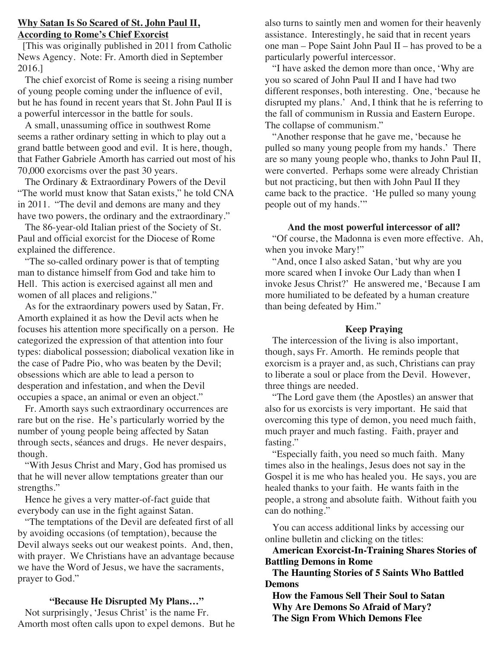#### **Why Satan Is So Scared of St. John Paul II, According to Rome's Chief Exorcist**

 [This was originally published in 2011 from Catholic News Agency. Note: Fr. Amorth died in September 2016.]

 The chief exorcist of Rome is seeing a rising number of young people coming under the influence of evil, but he has found in recent years that St. John Paul II is a powerful intercessor in the battle for souls.

 A small, unassuming office in southwest Rome seems a rather ordinary setting in which to play out a grand battle between good and evil. It is here, though, that Father Gabriele Amorth has carried out most of his 70,000 exorcisms over the past 30 years.

 The Ordinary & Extraordinary Powers of the Devil "The world must know that Satan exists," he told CNA in 2011. "The devil and demons are many and they have two powers, the ordinary and the extraordinary."

 The 86-year-old Italian priest of the Society of St. Paul and official exorcist for the Diocese of Rome explained the difference.

 "The so-called ordinary power is that of tempting man to distance himself from God and take him to Hell. This action is exercised against all men and women of all places and religions."

 As for the extraordinary powers used by Satan, Fr. Amorth explained it as how the Devil acts when he focuses his attention more specifically on a person. He categorized the expression of that attention into four types: diabolical possession; diabolical vexation like in the case of Padre Pio, who was beaten by the Devil; obsessions which are able to lead a person to desperation and infestation, and when the Devil occupies a space, an animal or even an object."

 Fr. Amorth says such extraordinary occurrences are rare but on the rise. He's particularly worried by the number of young people being affected by Satan through sects, séances and drugs. He never despairs, though.

 "With Jesus Christ and Mary, God has promised us that he will never allow temptations greater than our strengths."

 Hence he gives a very matter-of-fact guide that everybody can use in the fight against Satan.

 "The temptations of the Devil are defeated first of all by avoiding occasions (of temptation), because the Devil always seeks out our weakest points. And, then, with prayer. We Christians have an advantage because we have the Word of Jesus, we have the sacraments, prayer to God."

#### **"Because He Disrupted My Plans…"**

 Not surprisingly, 'Jesus Christ' is the name Fr. Amorth most often calls upon to expel demons. But he also turns to saintly men and women for their heavenly assistance. Interestingly, he said that in recent years one man – Pope Saint John Paul II – has proved to be a particularly powerful intercessor.

 "I have asked the demon more than once, 'Why are you so scared of John Paul II and I have had two different responses, both interesting. One, 'because he disrupted my plans.' And, I think that he is referring to the fall of communism in Russia and Eastern Europe. The collapse of communism."

 "Another response that he gave me, 'because he pulled so many young people from my hands.' There are so many young people who, thanks to John Paul II, were converted. Perhaps some were already Christian but not practicing, but then with John Paul II they came back to the practice. 'He pulled so many young people out of my hands.'"

## **And the most powerful intercessor of all?**

 "Of course, the Madonna is even more effective. Ah, when you invoke Mary!"

 "And, once I also asked Satan, 'but why are you more scared when I invoke Our Lady than when I invoke Jesus Christ?' He answered me, 'Because I am more humiliated to be defeated by a human creature than being defeated by Him."

#### **Keep Praying**

 The intercession of the living is also important, though, says Fr. Amorth. He reminds people that exorcism is a prayer and, as such, Christians can pray to liberate a soul or place from the Devil. However, three things are needed.

 "The Lord gave them (the Apostles) an answer that also for us exorcists is very important. He said that overcoming this type of demon, you need much faith, much prayer and much fasting. Faith, prayer and fasting."

 "Especially faith, you need so much faith. Many times also in the healings, Jesus does not say in the Gospel it is me who has healed you. He says, you are healed thanks to your faith. He wants faith in the people, a strong and absolute faith. Without faith you can do nothing."

 You can access additional links by accessing our online bulletin and clicking on the titles:

 **American Exorcist-In-Training Shares Stories of Battling Demons in Rome**

 **The Haunting Stories of 5 Saints Who Battled Demons**

 **How the Famous Sell Their Soul to Satan Why Are Demons So Afraid of Mary? The Sign From Which Demons Flee**